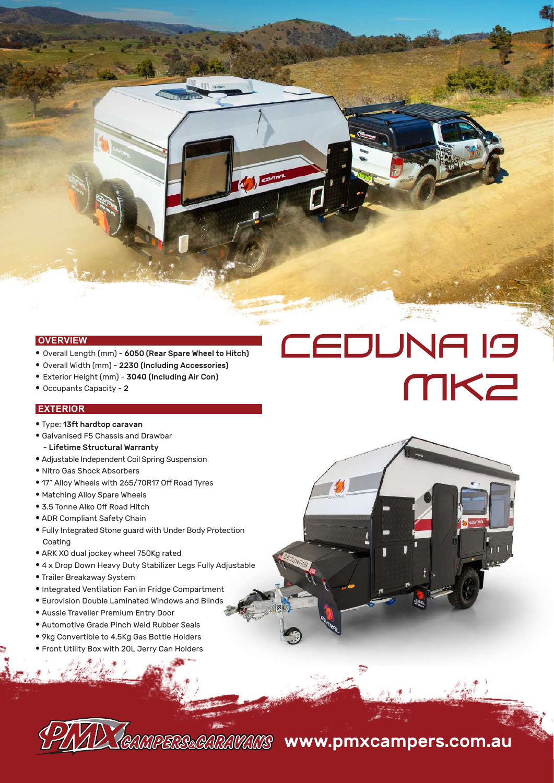**OVERVIEW**

- Overall Length (mm) 6050 (Rear Spare Wheel to Hitch)
- Overall Width (mm) 2230 (Including Accessories)
- Exterior Height (mm) 3040 (Including Air Con)
- Occupants Capacity 2

### **EXTERIOR**

- Type: 13ft hardtop caravan
- Galvanised F5 Chassis and Drawbar - Lifetime Structural Warranty
- Adjustable Independent Coil Spring Suspension
- Nitro Gas Shock Absorbers
- 17" Alloy Wheels with 265/70R17 Off Road Tyres
- Matching Alloy Spare Wheels
- 3.5 Tonne Alko Off Road Hitch
- ADR Compliant Safety Chain
- Fully Integrated Stone guard with Under Body Protection Coating
- ARK XO dual jockey wheel 750Kg rated
- 4 x Drop Down Heavy Duty Stabilizer Legs Fully Adjustable
- Trailer Breakaway System
- Integrated Ventilation Fan in Fridge Compartment
- Eurovision Double Laminated Windows and Blinds
- Aussie Traveller Premium Entry Door
- Automotive Grade Pinch Weld Rubber Seals
- 9kg Convertible to 4.5Kg Gas Bottle Holders
- Front Utility Box with 20L Jerry Can Holders

COMPERS&CARAVANS www.pmxcampers.com.au

CEDUNA 13

**MK2**